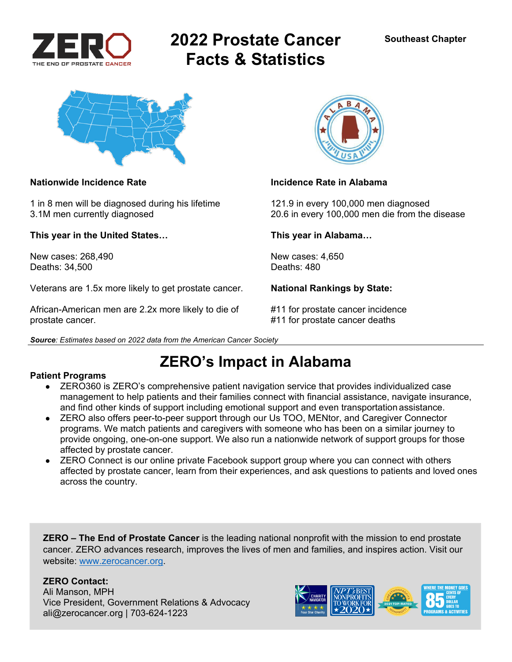

# **2022 Prostate Cancer Facts & Statistics**



1 in 8 men will be diagnosed during his lifetime 121.9 in every 100,000 men diagnosed

**This year in the United States… This year in Alabama…** 

New cases: 268.490 **New cases: 4,650** Deaths: 34,500 Deaths: 480

Veterans are 1.5x more likely to get prostate cancer. **National Rankings by State:** 

African-American men are 2.2x more likely to die of #11 for prostate cancer incidence prostate cancer. #11 for prostate cancer deaths





### **Nationwide Incidence Rate Incidence Rate in Alabama**

3.1M men currently diagnosed 20.6 in every 100,000 men die from the disease

# **ZERO's Impact in Alabama**

### **Patient Programs**

- ZERO360 is ZERO's comprehensive patient navigation service that provides individualized case management to help patients and their families connect with financial assistance, navigate insurance, and find other kinds of support including emotional support and even transportation assistance.
- ZERO also offers peer-to-peer support through our Us TOO, MENtor, and Caregiver Connector programs. We match patients and caregivers with someone who has been on a similar journey to provide ongoing, one-on-one support. We also run a nationwide network of support groups for those affected by prostate cancer.
- ZERO Connect is our online private Facebook support group where you can connect with others affected by prostate cancer, learn from their experiences, and ask questions to patients and loved ones across the country.

**ZERO – The End of Prostate Cancer** is the leading national nonprofit with the mission to end prostate cancer. ZERO advances research, improves the lives of men and families, and inspires action. Visit our website: www.zerocancer.org.

### **ZERO Contact:**

Ali Manson, MPH Vice President, Government Relations & Advocacy ali@zerocancer.org | 703-624-1223